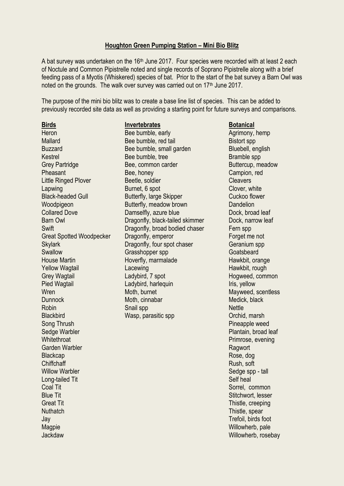## **Houghton Green Pumping Station – Mini Bio Blitz**

A bat survey was undertaken on the 16<sup>th</sup> June 2017. Four species were recorded with at least 2 each of Noctule and Common Pipistrelle noted and single records of Soprano Pipistrelle along with a brief feeding pass of a Myotis (Whiskered) species of bat. Prior to the start of the bat survey a Barn Owl was noted on the grounds. The walk over survey was carried out on 17<sup>th</sup> June 2017.

The purpose of the mini bio blitz was to create a base line list of species. This can be added to previously recorded site data as well as providing a starting point for future surveys and comparisons.

Blackbird Wasp, parasitic spp Orchid, marsh Song Thrush Pineapple weed Sedge Warbler **Plantain, broad leaf** Whitethroat **Primrose**, evening Garden Warbler **Ragwort** Blackcap Rose, dog **Chiffchaff** Rush, soft Rush, soft Rush, soft Rush, soft Rush, soft Rush, soft Rush, soft Rush, and Rush, and Rush, and Rush, and Rush, and Rush, and Rush, and Rush, and Rush, and Rush, and Rush, and Rush, and Rush, and Ru Willow Warbler **Sedge spp - tall** Long-tailed Tit Self heal and the Self heal and the Self heal and the Self heal and the Self heal and the Self heal Coal Tit Sorrel, common Coal Tit Sorrel, common Coal Tit Sorrel, common Coal Tit Sorrel, common Coal Tit Sorrel, common Coal Tit Sorrel, common Coal Tit Sorrel, common Coal Tit Sorrel, common Coal Tit Sorrel, common Coal T Blue Tit Stitchwort, lesser Great Tit Thistle, creeping and the Thistle, creeping and the Thistle, creeping and the Thistle, creeping Nuthatch Thistle, spear Jay Trefoil, birds foot Magpie Willowherb, pale Jackdaw Willowherb, rosebay

**Birds Invertebrates Botanical** Heron Bee bumble, early Agrimony, hemp Mallard Bistort spp Bee bumble, red tail Bistort spp Bistort spp Buzzard Buzzard Bee bumble, small garden Bluebell, english Kestrel Bee bumble, tree Bramble spp Grey Partridge **Bee, common carder** Buttercup, meadow Pheasant Bee, honey Campion, red Little Ringed Plover **Beetle, soldier** Cleavers Lapwing Burnet, 6 spot Clover, white Black-headed Gull Butterfly, large Skipper Cuckoo flower Woodpigeon Butterfly, meadow brown Dandelion Collared Dove Damselfly, azure blue Dock, broad leaf Barn Owl **Dragonfly, black-tailed skimmer** Dock, narrow leaf Swift **Dragonfly, broad bodied chaser** Fern spp Great Spotted Woodpecker Dragonfly, emperor Forget me not Skylark **Dragonfly, four spot chaser** Geranium spp Swallow Grasshopper spp Goatsbeard House Martin **Hoverfly, marmalade** Hawkbit, orange Yellow Wagtail **Lacewing Lacewing Hawkbit, rough** Grey Wagtail **Ladybird, 7 spot Common Hogweed, common** Pied Wagtail **Ladybird, harlequin** Iris, yellow Wren Moth, burnet Moth, burnet Mayweed, scentless Dunnock Moth, cinnabar Moth, cinnabar Medick, black Robin Snail spp Nettle